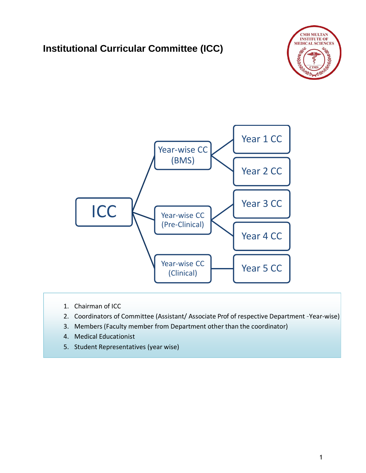# **Institutional Curricular Committee (ICC)**





- 1. Chairman of ICC
- 2. Coordinators of Committee (Assistant/ Associate Prof of respective Department –Year-wise)
- 3. Members (Faculty member from Department other than the coordinator)
- 4. Medical Educationist
- 5. Student Representatives (year wise)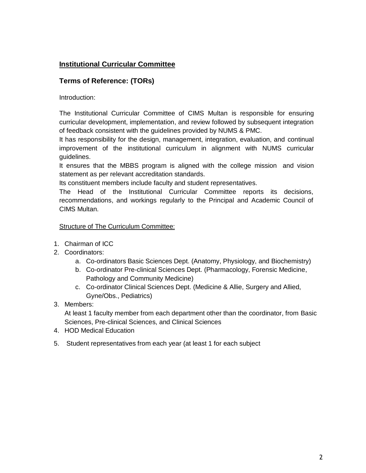# **Institutional Curricular Committee**

# **Terms of Reference: (TORs)**

Introduction:

The Institutional Curricular Committee of CIMS Multan is responsible for ensuring curricular development, implementation, and review followed by subsequent integration of feedback consistent with the guidelines provided by NUMS & PMC.

It has responsibility for the design, management, integration, evaluation, and continual improvement of the institutional curriculum in alignment with NUMS curricular guidelines.

It ensures that the MBBS program is aligned with the college mission and vision statement as per relevant accreditation standards.

Its constituent members include faculty and student representatives.

The Head of the Institutional Curricular Committee reports its decisions, recommendations, and workings regularly to the Principal and Academic Council of CIMS Multan.

### Structure of The Curriculum Committee:

- 1. Chairman of ICC
- 2. Coordinators:
	- a. Co-ordinators Basic Sciences Dept. (Anatomy, Physiology, and Biochemistry)
	- b. Co-ordinator Pre-clinical Sciences Dept. (Pharmacology, Forensic Medicine, Pathology and Community Medicine)
	- c. Co-ordinator Clinical Sciences Dept. (Medicine & Allie, Surgery and Allied, Gyne/Obs., Pediatrics)
- 3. Members:

At least 1 faculty member from each department other than the coordinator, from Basic Sciences, Pre-clinical Sciences, and Clinical Sciences

- 4. HOD Medical Education
- 5. Student representatives from each year (at least 1 for each subject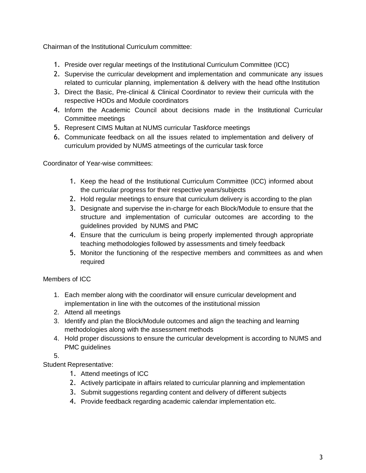Chairman of the Institutional Curriculum committee:

- 1. Preside over regular meetings of the Institutional Curriculum Committee (ICC)
- 2. Supervise the curricular development and implementation and communicate any issues related to curricular planning, implementation & delivery with the head ofthe Institution
- 3. Direct the Basic, Pre-clinical & Clinical Coordinator to review their curricula with the respective HODs and Module coordinators
- 4. Inform the Academic Council about decisions made in the Institutional Curricular Committee meetings
- 5. Represent CIMS Multan at NUMS curricular Taskforce meetings
- 6. Communicate feedback on all the issues related to implementation and delivery of curriculum provided by NUMS atmeetings of the curricular task force

Coordinator of Year-wise committees:

- 1. Keep the head of the Institutional Curriculum Committee (ICC) informed about the curricular progress for their respective years/subjects
- 2. Hold regular meetings to ensure that curriculum delivery is according to the plan
- 3. Designate and supervise the in-charge for each Block/Module to ensure that the structure and implementation of curricular outcomes are according to the guidelines provided by NUMS and PMC
- 4. Ensure that the curriculum is being properly implemented through appropriate teaching methodologies followed by assessments and timely feedback
- 5. Monitor the functioning of the respective members and committees as and when required

Members of ICC

- 1. Each member along with the coordinator will ensure curricular development and implementation in line with the outcomes of the institutional mission
- 2. Attend all meetings
- 3. Identify and plan the Block/Module outcomes and align the teaching and learning methodologies along with the assessment methods
- 4. Hold proper discussions to ensure the curricular development is according to NUMS and PMC guidelines

5.

Student Representative:

- 1. Attend meetings of ICC
- 2. Actively participate in affairs related to curricular planning and implementation
- 3. Submit suggestions regarding content and delivery of different subjects
- 4. Provide feedback regarding academic calendar implementation etc.